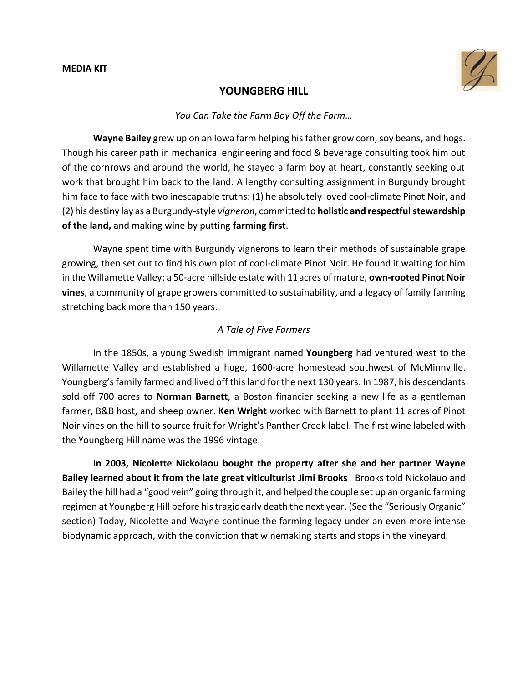

### **YOUNGBERG HILL**

### *You Can Take the Farm Boy Off the Farm…*

**Wayne Bailey** grew up on an Iowa farm helping his father grow corn, soy beans, and hogs. Though his career path in mechanical engineering and food & beverage consulting took him out of the cornrows and around the world, he stayed a farm boy at heart, constantly seeking out work that brought him back to the land. A lengthy consulting assignment in Burgundy brought him face to face with two inescapable truths: (1) he absolutely loved cool-climate Pinot Noir, and (2) his destiny lay as a Burgundy-style *vigneron*, committed to **holistic and respectfulstewardship of the land,** and making wine by putting **farming first**.

Wayne spent time with Burgundy vignerons to learn their methods of sustainable grape growing, then set out to find his own plot of cool-climate Pinot Noir. He found it waiting for him in the Willamette Valley: a 50-acre hillside estate with 11acres of mature, **own-rooted Pinot Noir vines**, a community of grape growers committed to sustainability, and a legacy of family farming stretching back more than 150 years.

### *A Tale of Five Farmers*

In the 1850s, a young Swedish immigrant named **Youngberg** had ventured west to the Willamette Valley and established a huge, 1600-acre homestead southwest of McMinnville. Youngberg's family farmed and lived off this land for the next 130 years. In 1987, his descendants sold off 700 acres to **Norman Barnett**, a Boston financier seeking a new life as a gentleman farmer, B&B host, and sheep owner. **Ken Wright** worked with Barnett to plant 11 acres of Pinot Noir vines on the hill to source fruit for Wright's Panther Creek label. The first wine labeled with the Youngberg Hill name was the 1996 vintage.

**In 2003, Nicolette Nickolaou bought the property after she and her partner Wayne Bailey learned about it from the late great viticulturist Jimi Brooks** Brooks told Nickolauo and Bailey the hill had a "good vein" going through it, and helped the couple set up an organic farming regimen at Youngberg Hill before his tragic early death the next year. (See the "Seriously Organic" section) Today, Nicolette and Wayne continue the farming legacy under an even more intense biodynamic approach, with the conviction that winemaking starts and stops in the vineyard.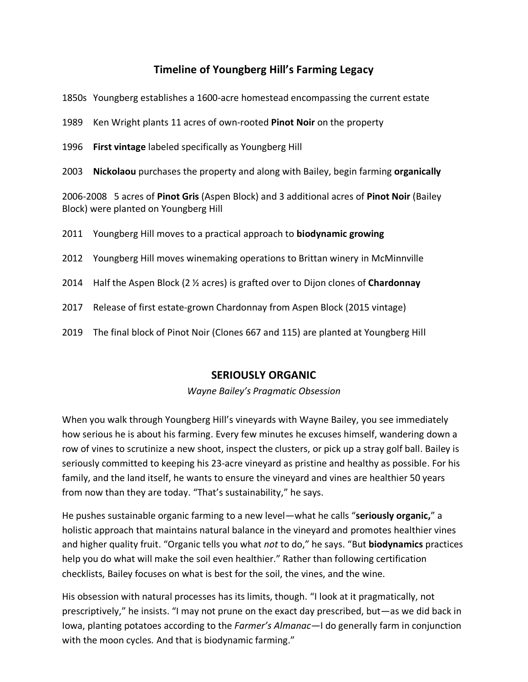# **Timeline of Youngberg Hill's Farming Legacy**

1850s Youngberg establishes a 1600-acre homestead encompassing the current estate

1989 Ken Wright plants 11 acres of own-rooted **Pinot Noir** on the property

- 1996 **First vintage** labeled specifically as Youngberg Hill
- 2003 **Nickolaou** purchases the property and along with Bailey, begin farming **organically**

2006-2008 5 acres of **Pinot Gris** (Aspen Block) and 3 additional acres of **Pinot Noir** (Bailey Block) were planted on Youngberg Hill

2011 Youngberg Hill moves to a practical approach to **biodynamic growing**

- 2012 Youngberg Hill moves winemaking operations to Brittan winery in McMinnville
- 2014 Half the Aspen Block (2 ½ acres) is grafted over to Dijon clones of **Chardonnay**
- 2017 Release of first estate-grown Chardonnay from Aspen Block (2015 vintage)
- 2019 The final block of Pinot Noir (Clones 667 and 115) are planted at Youngberg Hill

### **SERIOUSLY ORGANIC**

*Wayne Bailey's Pragmatic Obsession*

When you walk through Youngberg Hill's vineyards with Wayne Bailey, you see immediately how serious he is about his farming. Every few minutes he excuses himself, wandering down a row of vines to scrutinize a new shoot, inspect the clusters, or pick up a stray golf ball. Bailey is seriously committed to keeping his 23-acre vineyard as pristine and healthy as possible. For his family, and the land itself, he wants to ensure the vineyard and vines are healthier 50 years from now than they are today. "That's sustainability," he says.

He pushes sustainable organic farming to a new level—what he calls "**seriously organic,**" a holistic approach that maintains natural balance in the vineyard and promotes healthier vines and higher quality fruit. "Organic tells you what *not* to do," he says. "But **biodynamics** practices help you do what will make the soil even healthier." Rather than following certification checklists, Bailey focuses on what is best for the soil, the vines, and the wine.

His obsession with natural processes has its limits, though. "I look at it pragmatically, not prescriptively," he insists. "I may not prune on the exact day prescribed, but—as we did back in Iowa, planting potatoes according to the *Farmer's Almanac—*I do generally farm in conjunction with the moon cycles*.* And that is biodynamic farming."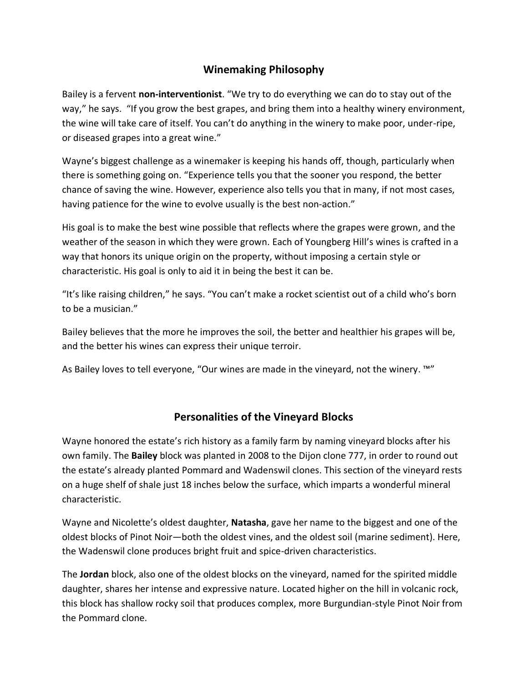# **Winemaking Philosophy**

Bailey is a fervent **non-interventionist**. "We try to do everything we can do to stay out of the way," he says. "If you grow the best grapes, and bring them into a healthy winery environment, the wine will take care of itself. You can't do anything in the winery to make poor, under-ripe, or diseased grapes into a great wine."

Wayne's biggest challenge as a winemaker is keeping his hands off, though, particularly when there is something going on. "Experience tells you that the sooner you respond, the better chance of saving the wine. However, experience also tells you that in many, if not most cases, having patience for the wine to evolve usually is the best non-action."

His goal is to make the best wine possible that reflects where the grapes were grown, and the weather of the season in which they were grown. Each of Youngberg Hill's wines is crafted in a way that honors its unique origin on the property, without imposing a certain style or characteristic. His goal is only to aid it in being the best it can be.

"It's like raising children," he says. "You can't make a rocket scientist out of a child who's born to be a musician."

Bailey believes that the more he improves the soil, the better and healthier his grapes will be, and the better his wines can express their unique terroir.

As Bailey loves to tell everyone, "Our wines are made in the vineyard, not the winery. ™"

# **Personalities of the Vineyard Blocks**

Wayne honored the estate's rich history as a family farm by naming vineyard blocks after his own family. The **Bailey** block was planted in 2008 to the Dijon clone 777, in order to round out the estate's already planted Pommard and Wadenswil clones. This section of the vineyard rests on a huge shelf of shale just 18 inches below the surface, which imparts a wonderful mineral characteristic.

Wayne and Nicolette's oldest daughter, **Natasha**, gave her name to the biggest and one of the oldest blocks of Pinot Noir—both the oldest vines, and the oldest soil (marine sediment). Here, the Wadenswil clone produces bright fruit and spice-driven characteristics.

The **Jordan** block, also one of the oldest blocks on the vineyard, named for the spirited middle daughter, shares her intense and expressive nature. Located higher on the hill in volcanic rock, this block has shallow rocky soil that produces complex, more Burgundian-style Pinot Noir from the Pommard clone.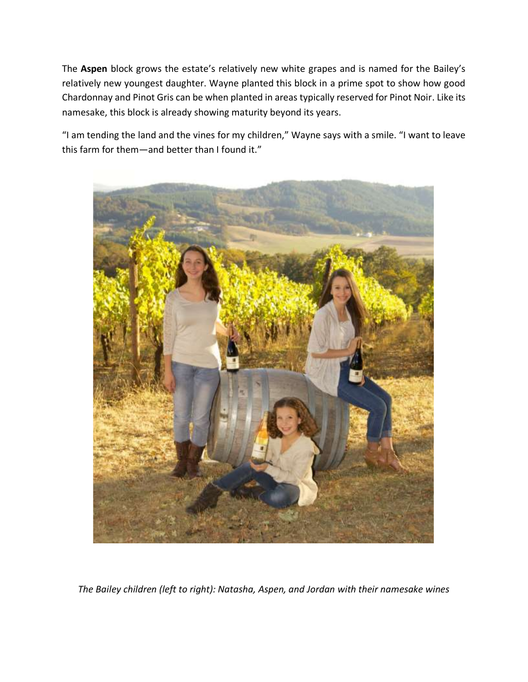The **Aspen** block grows the estate's relatively new white grapes and is named for the Bailey's relatively new youngest daughter. Wayne planted this block in a prime spot to show how good Chardonnay and Pinot Gris can be when planted in areas typically reserved for Pinot Noir. Like its namesake, this block is already showing maturity beyond its years.

"I am tending the land and the vines for my children," Wayne says with a smile. "I want to leave this farm for them—and better than I found it."



*The Bailey children (left to right): Natasha, Aspen, and Jordan with their namesake wines*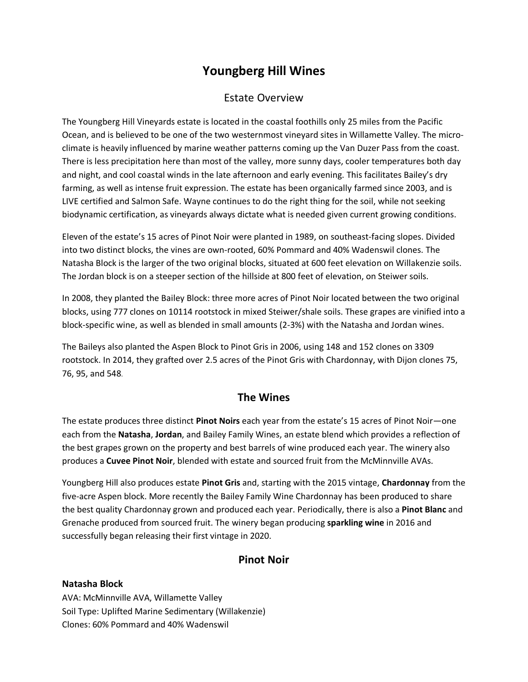# **Youngberg Hill Wines**

# Estate Overview

The Youngberg Hill Vineyards estate is located in the coastal foothills only 25 miles from the Pacific Ocean, and is believed to be one of the two westernmost vineyard sites in Willamette Valley. The microclimate is heavily influenced by marine weather patterns coming up the Van Duzer Pass from the coast. There is less precipitation here than most of the valley, more sunny days, cooler temperatures both day and night, and cool coastal winds in the late afternoon and early evening. This facilitates Bailey's dry farming, as well as intense fruit expression. The estate has been organically farmed since 2003, and is LIVE certified and Salmon Safe. Wayne continues to do the right thing for the soil, while not seeking biodynamic certification, as vineyards always dictate what is needed given current growing conditions.

Eleven of the estate's 15 acres of Pinot Noir were planted in 1989, on southeast-facing slopes. Divided into two distinct blocks, the vines are own-rooted, 60% Pommard and 40% Wadenswil clones. The Natasha Block is the larger of the two original blocks, situated at 600 feet elevation on Willakenzie soils. The Jordan block is on a steeper section of the hillside at 800 feet of elevation, on Steiwer soils.

In 2008, they planted the Bailey Block: three more acres of Pinot Noir located between the two original blocks, using 777 clones on 10114 rootstock in mixed Steiwer/shale soils. These grapes are vinified into a block-specific wine, as well as blended in small amounts (2-3%) with the Natasha and Jordan wines.

The Baileys also planted the Aspen Block to Pinot Gris in 2006, using 148 and 152 clones on 3309 rootstock. In 2014, they grafted over 2.5 acres of the Pinot Gris with Chardonnay, with Dijon clones 75, 76, 95, and 548.

# **The Wines**

The estate produces three distinct **Pinot Noirs** each year from the estate's 15 acres of Pinot Noir—one each from the **Natasha**, **Jordan**, and Bailey Family Wines, an estate blend which provides a reflection of the best grapes grown on the property and best barrels of wine produced each year. The winery also produces a **Cuvee Pinot Noir**, blended with estate and sourced fruit from the McMinnville AVAs.

Youngberg Hill also produces estate **Pinot Gris** and, starting with the 2015 vintage, **Chardonnay** from the five-acre Aspen block. More recently the Bailey Family Wine Chardonnay has been produced to share the best quality Chardonnay grown and produced each year. Periodically, there is also a **Pinot Blanc** and Grenache produced from sourced fruit. The winery began producing **sparkling wine** in 2016 and successfully began releasing their first vintage in 2020.

# **Pinot Noir**

#### **Natasha Block**

AVA: McMinnville AVA, Willamette Valley Soil Type: Uplifted Marine Sedimentary (Willakenzie) Clones: 60% Pommard and 40% Wadenswil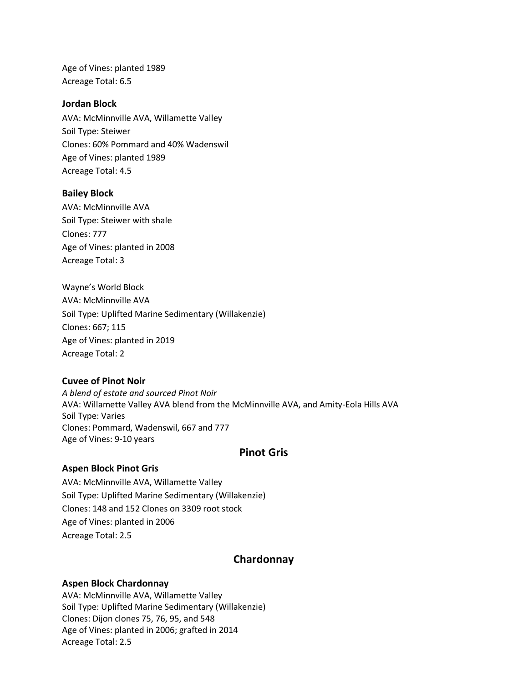Age of Vines: planted 1989 Acreage Total: 6.5

#### **Jordan Block**

AVA: McMinnville AVA, Willamette Valley Soil Type: Steiwer Clones: 60% Pommard and 40% Wadenswil Age of Vines: planted 1989 Acreage Total: 4.5

#### **Bailey Block**

AVA: McMinnville AVA Soil Type: Steiwer with shale Clones: 777 Age of Vines: planted in 2008 Acreage Total: 3

Wayne's World Block AVA: McMinnville AVA Soil Type: Uplifted Marine Sedimentary (Willakenzie) Clones: 667; 115 Age of Vines: planted in 2019 Acreage Total: 2

#### **Cuvee of Pinot Noir**

*A blend of estate and sourced Pinot Noir* AVA: Willamette Valley AVA blend from the McMinnville AVA, and Amity-Eola Hills AVA Soil Type: Varies Clones: Pommard, Wadenswil, 667 and 777 Age of Vines: 9-10 years

### **Pinot Gris**

#### **Aspen Block Pinot Gris**

AVA: McMinnville AVA, Willamette Valley Soil Type: Uplifted Marine Sedimentary (Willakenzie) Clones: 148 and 152 Clones on 3309 root stock Age of Vines: planted in 2006 Acreage Total: 2.5

#### **Chardonnay**

#### **Aspen Block Chardonnay**

AVA: McMinnville AVA, Willamette Valley Soil Type: Uplifted Marine Sedimentary (Willakenzie) Clones: Dijon clones 75, 76, 95, and 548 Age of Vines: planted in 2006; grafted in 2014 Acreage Total: 2.5